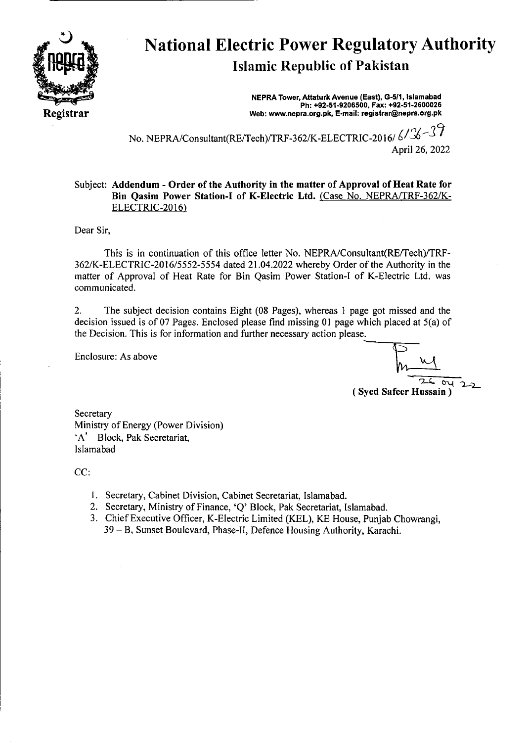

## National Electric Power Regulatory Authority Islamic Republic of Pakistan

**NEPRA Tower, Attaturk Avenue (East), G-5/1, Islamabad Ph: +92-51.9206500, Fax: +92-51-2600026 Web: www.nepra.org.pk, E-mail: registrar@nepra.org.pk** 

No. NEPRA/Consultant(RE/Tech)/TRF-362/K-ELECTRIC-2016/6/36-37 April 26, 2022

## Subject: **Addendum** - **Order of the** Authority in **the matter of Approval of Heat Rate for Bin Qasim** Power Station-I of K-Electric Ltd. (Case No. NEPRA/TRF-362/K-ELECTRIC-2016)

Dear Sir,

This is in continuation of this office letter No. NEPRA/Consultant(RE/Tech)/TRF-362/K-ELECTRIC-2016/5552-5554 dated 21.04.2022 whereby Order of the Authority in the matter of Approval of Heat Rate for Bin Qasim Power Station-I of K-Electric Ltd. was communicated.

2. The subject decision contains Eight (08 Pages), whereas I page got missed and the decision issued is of 07 Pages. Enclosed please find missing 01 page which placed at 5(a) of the Decision. This is for information and further necessary action please.

Enclosure: As above

'A' Block, Pak Secretariat,

 $au$ (Syed Safeer Hussain)

Ministry of Energy (Power Division)

CC:

**Secretary** 

Islamabad

- I. Secretary, Cabinet Division, Cabinet Secretariat, Islamabad.
- 2. Secretary, Ministry of Finance, 'Q' Block, Pak Secretariat, Islamabad.
- 3. Chief Executive Officer, K-Electric Limited (KEL), KE House, Punjab Chowrangi, 39 — B, Sunset Boulevard, Phase-lI, Defence Housing Authority, Karachi.